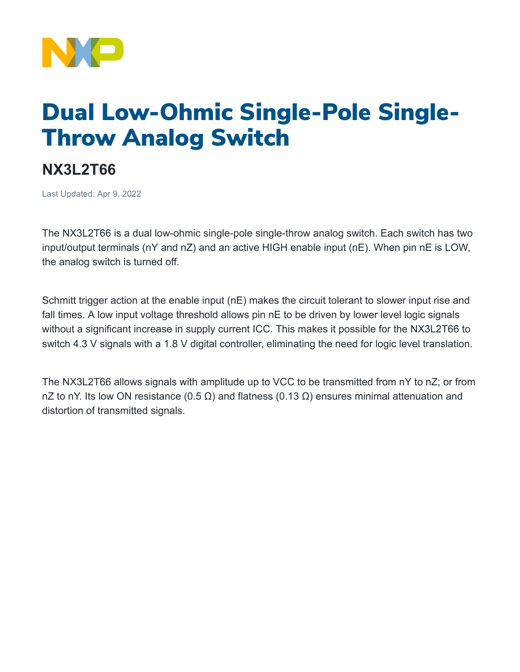

## Dual Low-Ohmic Single-Pole Single-Throw Analog Switch

## **NX3L2T66**

Last Updated: Apr 9, 2022

The NX3L2T66 is a dual low-ohmic single-pole single-throw analog switch. Each switch has two input/output terminals (nY and nZ) and an active HIGH enable input (nE). When pin nE is LOW, the analog switch is turned off.

Schmitt trigger action at the enable input (nE) makes the circuit tolerant to slower input rise and fall times. A low input voltage threshold allows pin nE to be driven by lower level logic signals without a significant increase in supply current ICC. This makes it possible for the NX3L2T66 to switch 4.3 V signals with a 1.8 V digital controller, eliminating the need for logic level translation.

The NX3L2T66 allows signals with amplitude up to VCC to be transmitted from nY to nZ; or from nZ to nY. Its low ON resistance (0.5 Ω) and flatness (0.13 Ω) ensures minimal attenuation and distortion of transmitted signals.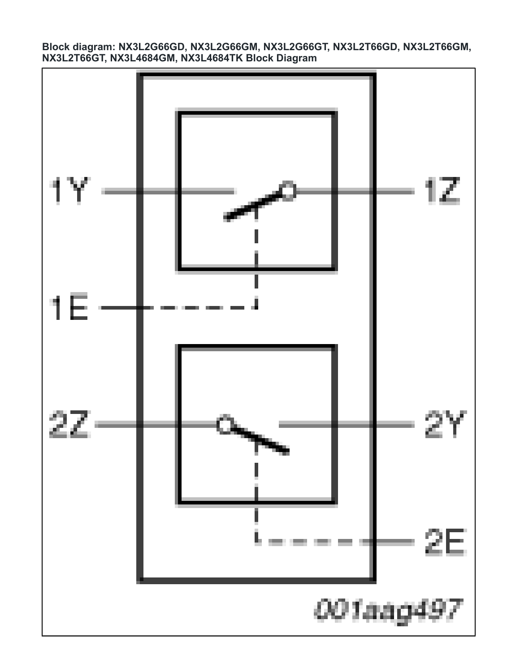**Block diagram: NX3L2G66GD, NX3L2G66GM, NX3L2G66GT, NX3L2T66GD, NX3L2T66GM, NX3L2T66GT, NX3L4684GM, NX3L4684TK Block Diagram**